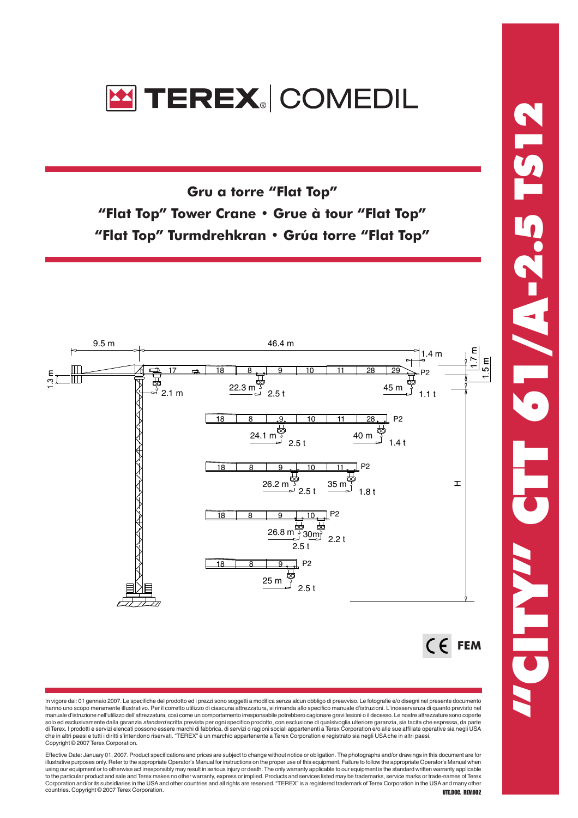

Gru a torre "Flat Top" "Flat Top" Tower Crane • Grue à tour "Flat Top" "Flat Top" Turmdrehkran • Grúa torre "Flat Top"



In vigore dal: 01 gennaio 2007. Le specifiche del prodotto ed i prezzi sono soggetti a modifica senza alcun obbligo di preavviso. Le fotografie e/o disegni nel presente documento hanno uno scopo meramente illustrativo. Per il corretto utilizzo di ciascuna attrezzatura, si rimanda allo specifico manuale d'istruzioni. L'inosservanza di quanto previsto nel manuale d'istruzione nell'utilizzo dell'attrezzatura, così come un comportamento irresponsabile potrebbero cagionare gravi lesioni o il decesso. Le nostre attrezzature sono coperte solo ed esclusivamente dalla garanzia standard scritta prevista per ogni specifico prodotto, con esclusione di qualsivoglia ulteriore garanzia, sia tacita che espressa, da parte di Terex. I prodotti e servizi elencati possono essere marchi di fabbrica, di servizi o ragioni sociali appartenenti a Terex Corporation e/o alle sue affiliate operative sia negli USA<br>che in altri paesi e tutti i diritti s Copyright © 2007 Terex Corporation.

Effective Date: January 01, 2007. Product specifications and prices are subject to change without notice or obligation. The photographs and/or drawings in this document are for<br>illustrative purposes only. Refer to the appr to the particular product and sale and Terex makes no other warranty, express or implied. Products and services listed may be trademarks, service marks or trade-names of Terex<br>Corporation and/or its subsidiaries in the USA countries. Copyright © 2007 Terex Corporation.<br> **UTE.DOC. REV.002**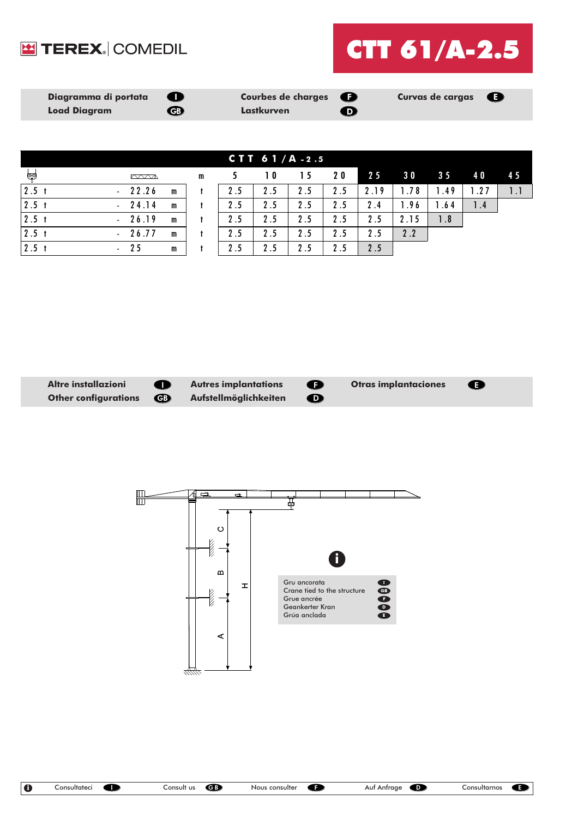



| ୍କ               |       |   |  |
|------------------|-------|---|--|
| $2.5$ t          | 22.26 | m |  |
| 2.5 <sub>t</sub> | 24.14 | m |  |
| 2.5 <sub>t</sub> | 26.19 | m |  |
| 2.5 <sub>t</sub> | 26.77 | m |  |
| 2.5              | 25    | m |  |

| CTT $61/A - 2.5$ |                 |              |              |     |     |     |     |      |           |                |           |     |
|------------------|-----------------|--------------|--------------|-----|-----|-----|-----|------|-----------|----------------|-----------|-----|
| ಅಂ               | m               |              | $\mathbf{m}$ |     | 10  | 15  | 20  | 25   | <b>30</b> | 3 <sub>5</sub> | <b>40</b> | 45  |
| 2.5 <sub>1</sub> | 22.26<br>$\sim$ | m            |              | 2.5 | 2.5 | 2.5 | 2.5 | 2.19 | .78       | .49            | 1.27      | 1.1 |
| 2.5 <sub>t</sub> | 24.14<br>$\sim$ | m            |              | 2.5 | 2.5 | 2.5 | 2.5 | 2.4  | .96       | .64            | 1.4       |     |
| 2.5 <sub>1</sub> | 26.19<br>$\sim$ | m            |              | 2.5 | 2.5 | 2.5 | 2.5 | 2.5  | 2.15      | 1.8            |           |     |
| 2.5 <sub>t</sub> | 26.77<br>$\sim$ | $\mathsf{m}$ |              | 2.5 | 2.5 | 2.5 | 2.5 | 2.5  | 2.2       |                |           |     |
| 2.5 <sub>t</sub> | -25<br>$\sim$   | m            |              | 2.5 | 2.5 | 2.5 | 2.5 | 2.5  |           |                |           |     |



GB  $\bullet$ 



 $\bullet$ 

 $\blacksquare$  $\blacksquare$ च्च  $\circ$ **Killed Kill** i  $\omega$ Gru ancorata  $\pm$ I **STATE** Crane tied to the structure GB Grue ancrée F Geankerter Kran D Grúa anclada E  $\triangleleft$ 77777.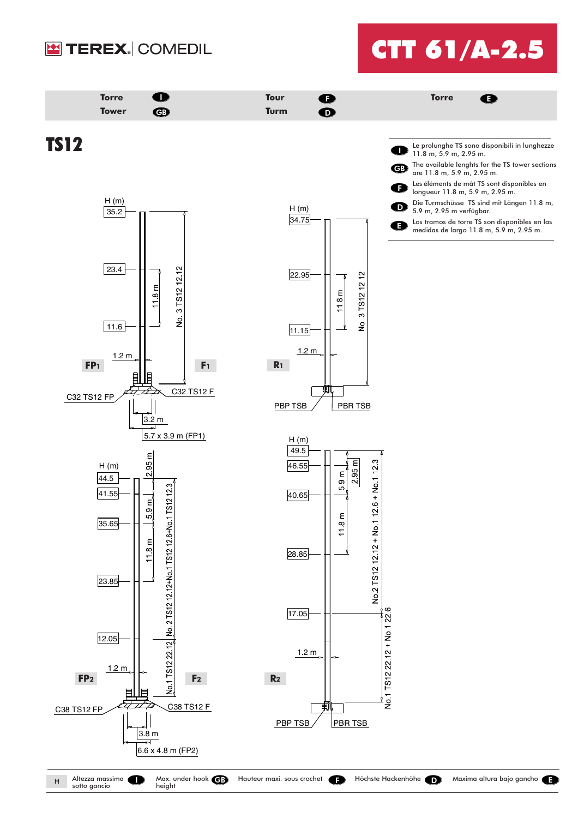

## CTT 61/A-2.5



sotto gancio